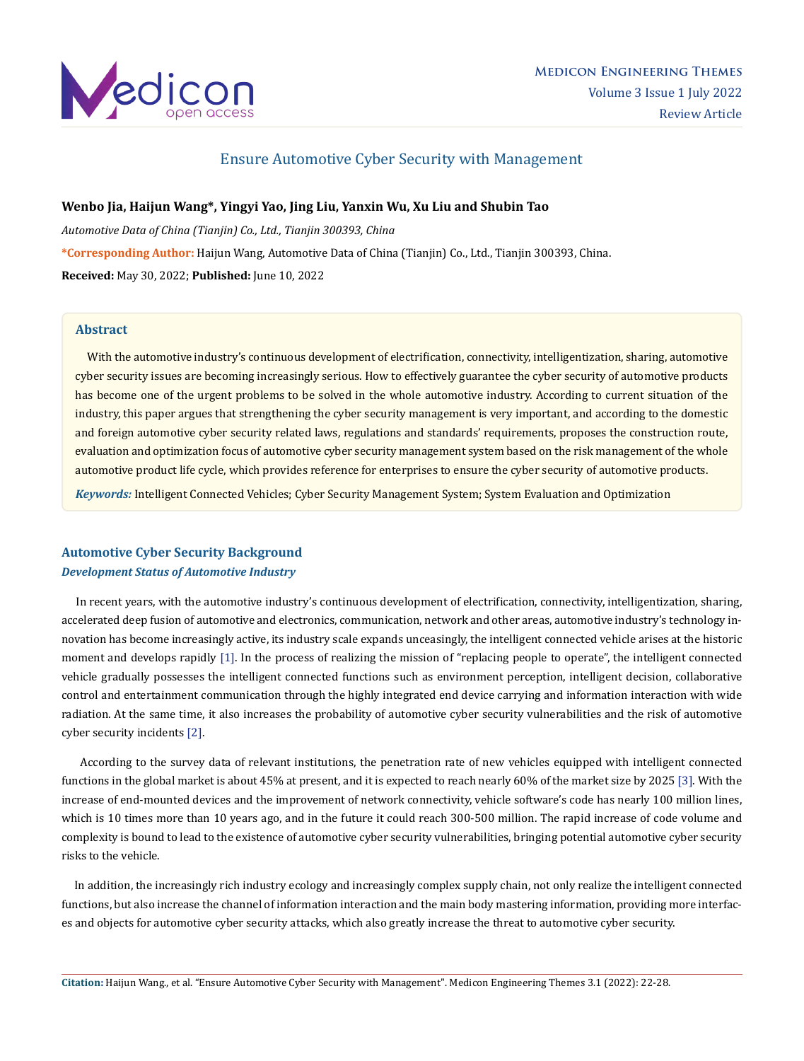

# Ensure Automotive Cyber Security with Management

# **Wenbo Jia, Haijun Wang\*, Yingyi Yao, Jing Liu, Yanxin Wu, Xu Liu and Shubin Tao**

*Automotive Data of China (Tianjin) Co., Ltd., Tianjin 300393, China* **\*Corresponding Author:** Haijun Wang, Automotive Data of China (Tianjin) Co., Ltd., Tianjin 300393, China. **Received:** May 30, 2022; **Published:** June 10, 2022

# **Abstract**

 With the automotive industry's continuous development of electrification, connectivity, intelligentization, sharing, automotive cyber security issues are becoming increasingly serious. How to effectively guarantee the cyber security of automotive products has become one of the urgent problems to be solved in the whole automotive industry. According to current situation of the industry, this paper argues that strengthening the cyber security management is very important, and according to the domestic and foreign automotive cyber security related laws, regulations and standards' requirements, proposes the construction route, evaluation and optimization focus of automotive cyber security management system based on the risk management of the whole automotive product life cycle, which provides reference for enterprises to ensure the cyber security of automotive products.

*Keywords:* Intelligent Connected Vehicles; Cyber Security Management System; System Evaluation and Optimization

# **Automotive Cyber Security Background** *Development Status of Automotive Industry*

 In recent years, with the automotive industry's continuous development of electrification, connectivity, intelligentization, sharing, accelerated deep fusion of automotive and electronics, communication, network and other areas, automotive industry's technology innovation has become increasingly active, its industry scale expands unceasingly, the intelligent connected vehicle arises at the historic moment and develops rapidly [1]. In the process of realizing the mission of "replacing people to operate", the intelligent connected vehicle gradually possesses the intelligent connected functions such as environment perception, intelligent decision, collaborative control and entertainment communication through the highly integrated end device carrying and information interaction with wide radiation. At the same time, it also increases the probability of automotive cyber security vulnerabilities and the risk of automotive cyber security incidents [2].

 According to the survey data of relevant institutions, the penetration rate of new vehicles equipped with intelligent connected functions in the global market is about 45% at present, and it is expected to reach nearly 60% of the market size by 2025 [3]. With the increase of end-mounted devices and the improvement of network connectivity, vehicle software's code has nearly 100 million lines, which is 10 times more than 10 years ago, and in the future it could reach 300-500 million. The rapid increase of code volume and complexity is bound to lead to the existence of automotive cyber security vulnerabilities, bringing potential automotive cyber security risks to the vehicle.

 In addition, the increasingly rich industry ecology and increasingly complex supply chain, not only realize the intelligent connected functions, but also increase the channel of information interaction and the main body mastering information, providing more interfaces and objects for automotive cyber security attacks, which also greatly increase the threat to automotive cyber security.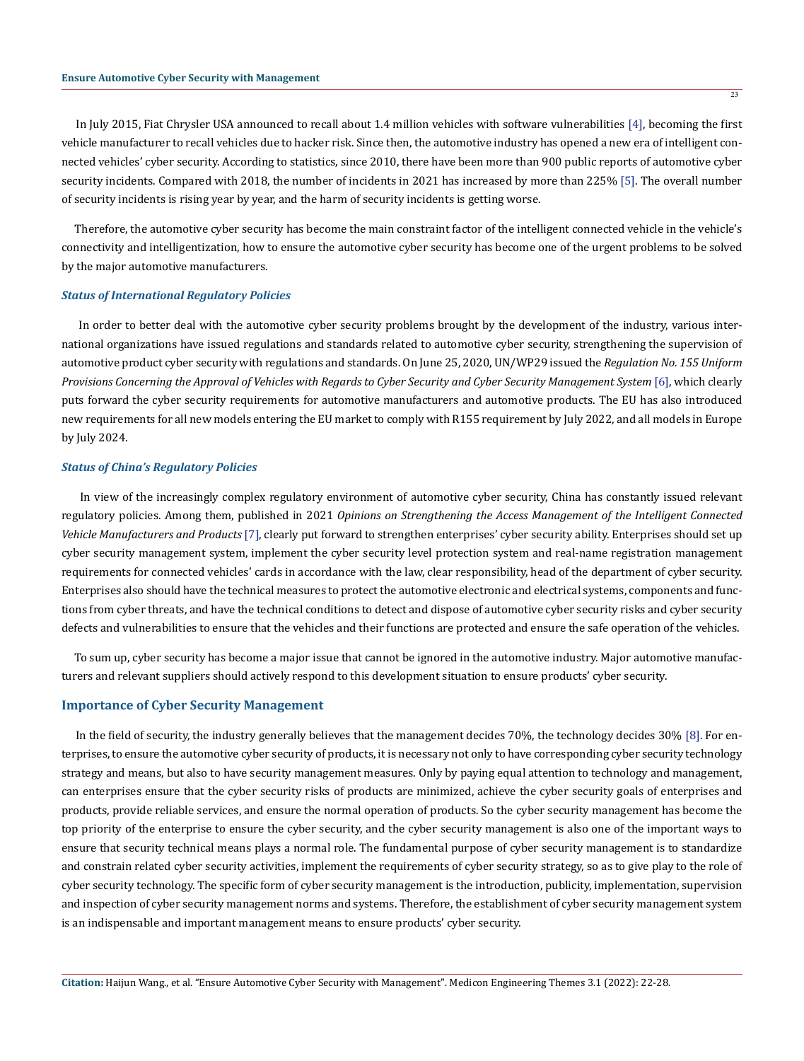In July 2015, Fiat Chrysler USA announced to recall about 1.4 million vehicles with software vulnerabilities [4], becoming the first vehicle manufacturer to recall vehicles due to hacker risk. Since then, the automotive industry has opened a new era of intelligent connected vehicles' cyber security. According to statistics, since 2010, there have been more than 900 public reports of automotive cyber security incidents. Compared with 2018, the number of incidents in 2021 has increased by more than 225% [5]. The overall number of security incidents is rising year by year, and the harm of security incidents is getting worse.

 Therefore, the automotive cyber security has become the main constraint factor of the intelligent connected vehicle in the vehicle's connectivity and intelligentization, how to ensure the automotive cyber security has become one of the urgent problems to be solved by the major automotive manufacturers.

#### *Status of International Regulatory Policies*

 In order to better deal with the automotive cyber security problems brought by the development of the industry, various international organizations have issued regulations and standards related to automotive cyber security, strengthening the supervision of automotive product cyber security with regulations and standards. On June 25, 2020, UN/WP29 issued the *Regulation No. 155 Uniform Provisions Concerning the Approval of Vehicles with Regards to Cyber Security and Cyber Security Management System* [6], which clearly puts forward the cyber security requirements for automotive manufacturers and automotive products. The EU has also introduced new requirements for all new models entering the EU market to comply with R155 requirement by July 2022, and all models in Europe by July 2024.

### *Status of China's Regulatory Policies*

 In view of the increasingly complex regulatory environment of automotive cyber security, China has constantly issued relevant regulatory policies. Among them, published in 2021 *Opinions on Strengthening the Access Management of the Intelligent Connected Vehicle Manufacturers and Products* [7], clearly put forward to strengthen enterprises' cyber security ability. Enterprises should set up cyber security management system, implement the cyber security level protection system and real-name registration management requirements for connected vehicles' cards in accordance with the law, clear responsibility, head of the department of cyber security. Enterprises also should have the technical measures to protect the automotive electronic and electrical systems, components and functions from cyber threats, and have the technical conditions to detect and dispose of automotive cyber security risks and cyber security defects and vulnerabilities to ensure that the vehicles and their functions are protected and ensure the safe operation of the vehicles.

 To sum up, cyber security has become a major issue that cannot be ignored in the automotive industry. Major automotive manufacturers and relevant suppliers should actively respond to this development situation to ensure products' cyber security.

## **Importance of Cyber Security Management**

 In the field of security, the industry generally believes that the management decides 70%, the technology decides 30% [8]. For enterprises, to ensure the automotive cyber security of products, it is necessary not only to have corresponding cyber security technology strategy and means, but also to have security management measures. Only by paying equal attention to technology and management, can enterprises ensure that the cyber security risks of products are minimized, achieve the cyber security goals of enterprises and products, provide reliable services, and ensure the normal operation of products. So the cyber security management has become the top priority of the enterprise to ensure the cyber security, and the cyber security management is also one of the important ways to ensure that security technical means plays a normal role. The fundamental purpose of cyber security management is to standardize and constrain related cyber security activities, implement the requirements of cyber security strategy, so as to give play to the role of cyber security technology. The specific form of cyber security management is the introduction, publicity, implementation, supervision and inspection of cyber security management norms and systems. Therefore, the establishment of cyber security management system is an indispensable and important management means to ensure products' cyber security.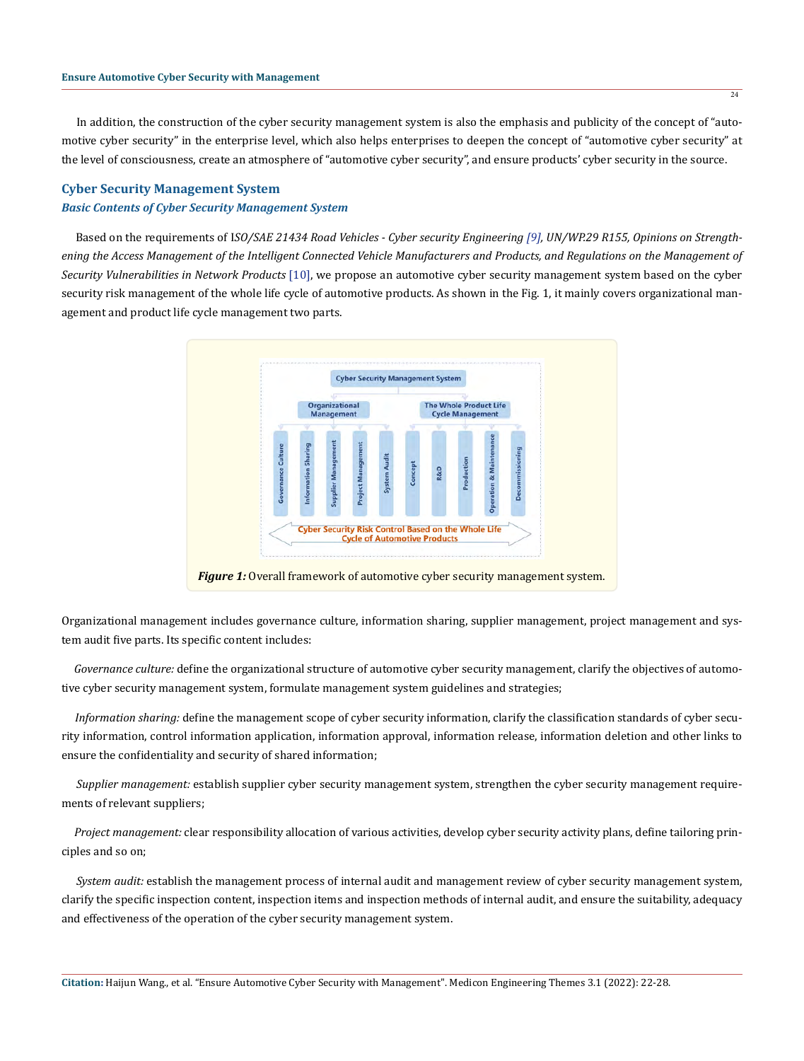In addition, the construction of the cyber security management system is also the emphasis and publicity of the concept of "automotive cyber security" in the enterprise level, which also helps enterprises to deepen the concept of "automotive cyber security" at the level of consciousness, create an atmosphere of "automotive cyber security", and ensure products' cyber security in the source.

## **Cyber Security Management System**

#### *Basic Contents of Cyber Security Management System*

 Based on the requirements of I*SO/SAE 21434 Road Vehicles - Cyber security Engineering [9], UN/WP.29 R155, Opinions on Strengthening the Access Management of the Intelligent Connected Vehicle Manufacturers and Products, and Regulations on the Management of Security Vulnerabilities in Network Products* [10], we propose an automotive cyber security management system based on the cyber security risk management of the whole life cycle of automotive products. As shown in the Fig. 1, it mainly covers organizational management and product life cycle management two parts.



Organizational management includes governance culture, information sharing, supplier management, project management and system audit five parts. Its specific content includes:

 *Governance culture:* define the organizational structure of automotive cyber security management, clarify the objectives of automotive cyber security management system, formulate management system guidelines and strategies;

 *Information sharing:* define the management scope of cyber security information, clarify the classification standards of cyber security information, control information application, information approval, information release, information deletion and other links to ensure the confidentiality and security of shared information;

 *Supplier management:* establish supplier cyber security management system, strengthen the cyber security management requirements of relevant suppliers;

 *Project management:* clear responsibility allocation of various activities, develop cyber security activity plans, define tailoring principles and so on;

 *System audit:* establish the management process of internal audit and management review of cyber security management system, clarify the specific inspection content, inspection items and inspection methods of internal audit, and ensure the suitability, adequacy and effectiveness of the operation of the cyber security management system.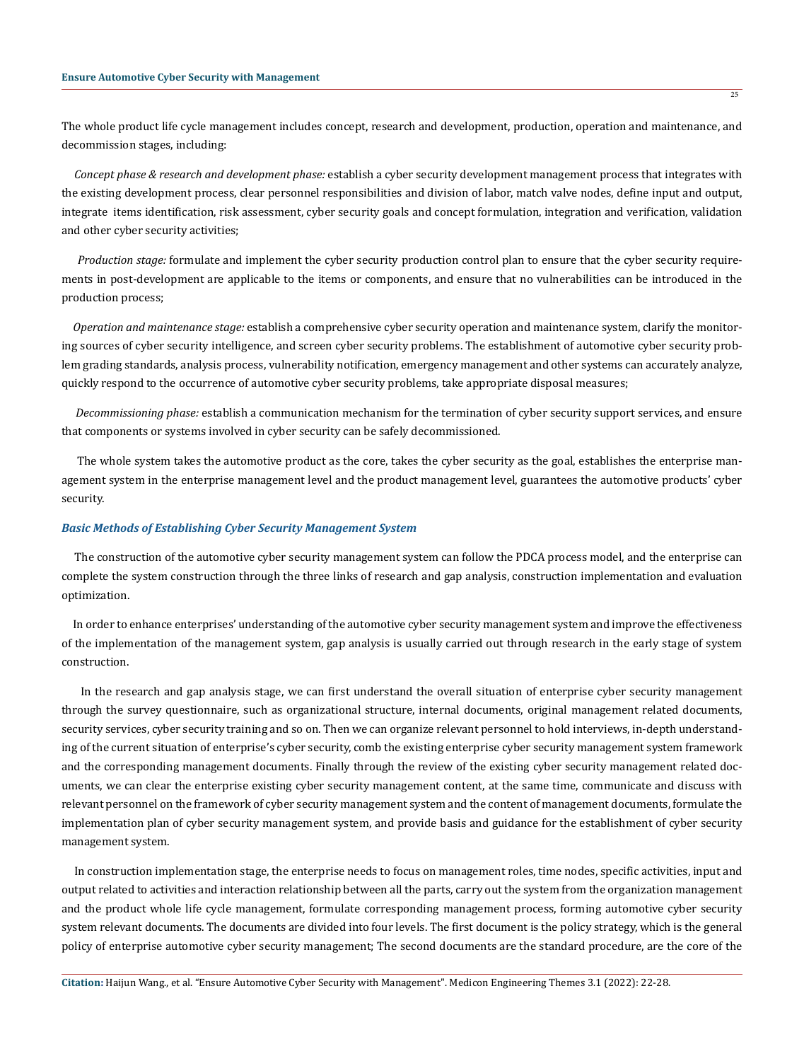The whole product life cycle management includes concept, research and development, production, operation and maintenance, and decommission stages, including:

 *Concept phase & research and development phase:* establish a cyber security development management process that integrates with the existing development process, clear personnel responsibilities and division of labor, match valve nodes, define input and output, integrate items identification, risk assessment, cyber security goals and concept formulation, integration and verification, validation and other cyber security activities;

 *Production stage:* formulate and implement the cyber security production control plan to ensure that the cyber security requirements in post-development are applicable to the items or components, and ensure that no vulnerabilities can be introduced in the production process;

 *Operation and maintenance stage:* establish a comprehensive cyber security operation and maintenance system, clarify the monitoring sources of cyber security intelligence, and screen cyber security problems. The establishment of automotive cyber security problem grading standards, analysis process, vulnerability notification, emergency management and other systems can accurately analyze, quickly respond to the occurrence of automotive cyber security problems, take appropriate disposal measures;

 *Decommissioning phase:* establish a communication mechanism for the termination of cyber security support services, and ensure that components or systems involved in cyber security can be safely decommissioned.

 The whole system takes the automotive product as the core, takes the cyber security as the goal, establishes the enterprise management system in the enterprise management level and the product management level, guarantees the automotive products' cyber security.

## *Basic Methods of Establishing Cyber Security Management System*

 The construction of the automotive cyber security management system can follow the PDCA process model, and the enterprise can complete the system construction through the three links of research and gap analysis, construction implementation and evaluation optimization.

 In order to enhance enterprises' understanding of the automotive cyber security management system and improve the effectiveness of the implementation of the management system, gap analysis is usually carried out through research in the early stage of system construction.

 In the research and gap analysis stage, we can first understand the overall situation of enterprise cyber security management through the survey questionnaire, such as organizational structure, internal documents, original management related documents, security services, cyber security training and so on. Then we can organize relevant personnel to hold interviews, in-depth understanding of the current situation of enterprise's cyber security, comb the existing enterprise cyber security management system framework and the corresponding management documents. Finally through the review of the existing cyber security management related documents, we can clear the enterprise existing cyber security management content, at the same time, communicate and discuss with relevant personnel on the framework of cyber security management system and the content of management documents, formulate the implementation plan of cyber security management system, and provide basis and guidance for the establishment of cyber security management system.

 In construction implementation stage, the enterprise needs to focus on management roles, time nodes, specific activities, input and output related to activities and interaction relationship between all the parts, carry out the system from the organization management and the product whole life cycle management, formulate corresponding management process, forming automotive cyber security system relevant documents. The documents are divided into four levels. The first document is the policy strategy, which is the general policy of enterprise automotive cyber security management; The second documents are the standard procedure, are the core of the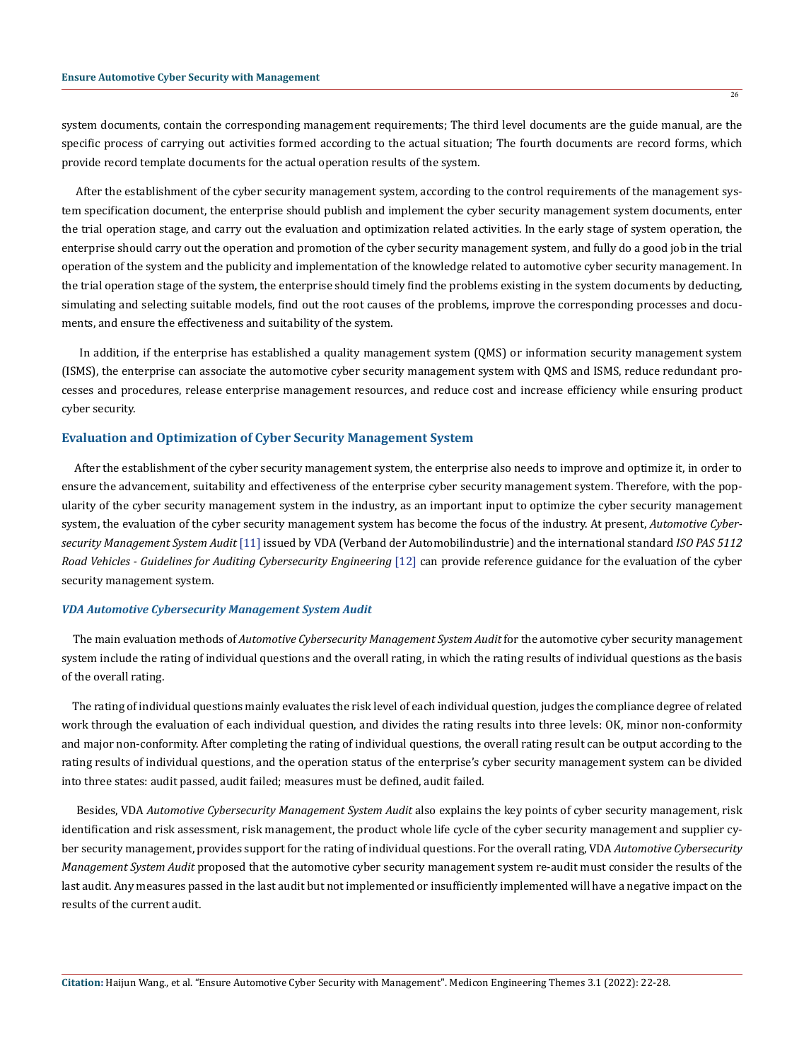system documents, contain the corresponding management requirements; The third level documents are the guide manual, are the specific process of carrying out activities formed according to the actual situation; The fourth documents are record forms, which provide record template documents for the actual operation results of the system.

 After the establishment of the cyber security management system, according to the control requirements of the management system specification document, the enterprise should publish and implement the cyber security management system documents, enter the trial operation stage, and carry out the evaluation and optimization related activities. In the early stage of system operation, the enterprise should carry out the operation and promotion of the cyber security management system, and fully do a good job in the trial operation of the system and the publicity and implementation of the knowledge related to automotive cyber security management. In the trial operation stage of the system, the enterprise should timely find the problems existing in the system documents by deducting, simulating and selecting suitable models, find out the root causes of the problems, improve the corresponding processes and documents, and ensure the effectiveness and suitability of the system.

 In addition, if the enterprise has established a quality management system (QMS) or information security management system (ISMS), the enterprise can associate the automotive cyber security management system with QMS and ISMS, reduce redundant processes and procedures, release enterprise management resources, and reduce cost and increase efficiency while ensuring product cyber security.

### **Evaluation and Optimization of Cyber Security Management System**

 After the establishment of the cyber security management system, the enterprise also needs to improve and optimize it, in order to ensure the advancement, suitability and effectiveness of the enterprise cyber security management system. Therefore, with the popularity of the cyber security management system in the industry, as an important input to optimize the cyber security management system, the evaluation of the cyber security management system has become the focus of the industry. At present, *Automotive Cybersecurity Management System Audit* [11] issued by VDA (Verband der Automobilindustrie) and the international standard *ISO PAS 5112 Road Vehicles - Guidelines for Auditing Cybersecurity Engineering* [12] can provide reference guidance for the evaluation of the cyber security management system.

### *VDA Automotive Cybersecurity Management System Audit*

 The main evaluation methods of *Automotive Cybersecurity Management System Audit* for the automotive cyber security management system include the rating of individual questions and the overall rating, in which the rating results of individual questions as the basis of the overall rating.

 The rating of individual questions mainly evaluates the risk level of each individual question, judges the compliance degree of related work through the evaluation of each individual question, and divides the rating results into three levels: OK, minor non-conformity and major non-conformity. After completing the rating of individual questions, the overall rating result can be output according to the rating results of individual questions, and the operation status of the enterprise's cyber security management system can be divided into three states: audit passed, audit failed; measures must be defined, audit failed.

 Besides, VDA *Automotive Cybersecurity Management System Audit* also explains the key points of cyber security management, risk identification and risk assessment, risk management, the product whole life cycle of the cyber security management and supplier cyber security management, provides support for the rating of individual questions. For the overall rating, VDA *Automotive Cybersecurity Management System Audit* proposed that the automotive cyber security management system re-audit must consider the results of the last audit. Any measures passed in the last audit but not implemented or insufficiently implemented will have a negative impact on the results of the current audit.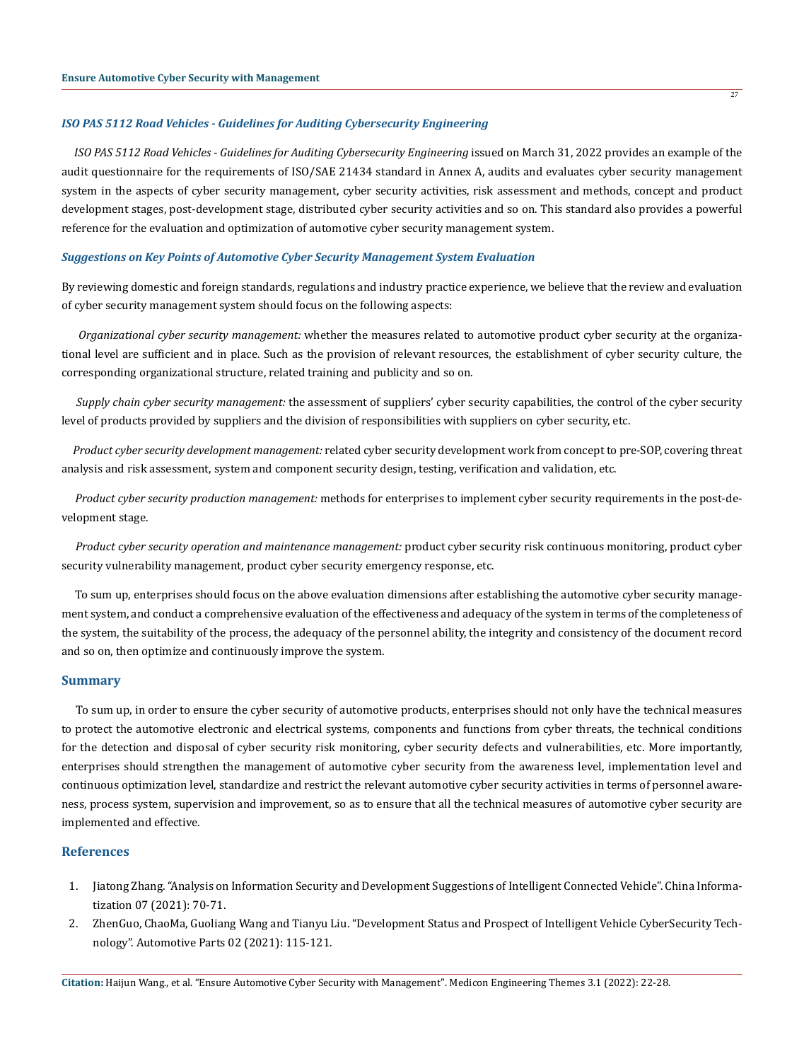## *ISO PAS 5112 Road Vehicles - Guidelines for Auditing Cybersecurity Engineering*

 *ISO PAS 5112 Road Vehicles - Guidelines for Auditing Cybersecurity Engineering* issued on March 31, 2022 provides an example of the audit questionnaire for the requirements of ISO/SAE 21434 standard in Annex A, audits and evaluates cyber security management system in the aspects of cyber security management, cyber security activities, risk assessment and methods, concept and product development stages, post-development stage, distributed cyber security activities and so on. This standard also provides a powerful reference for the evaluation and optimization of automotive cyber security management system.

#### *Suggestions on Key Points of Automotive Cyber Security Management System Evaluation*

By reviewing domestic and foreign standards, regulations and industry practice experience, we believe that the review and evaluation of cyber security management system should focus on the following aspects:

 *Organizational cyber security management:* whether the measures related to automotive product cyber security at the organizational level are sufficient and in place. Such as the provision of relevant resources, the establishment of cyber security culture, the corresponding organizational structure, related training and publicity and so on.

 *Supply chain cyber security management:* the assessment of suppliers' cyber security capabilities, the control of the cyber security level of products provided by suppliers and the division of responsibilities with suppliers on cyber security, etc.

 *Product cyber security development management:* related cyber security development work from concept to pre-SOP, covering threat analysis and risk assessment, system and component security design, testing, verification and validation, etc.

 *Product cyber security production management:* methods for enterprises to implement cyber security requirements in the post-development stage.

 *Product cyber security operation and maintenance management:* product cyber security risk continuous monitoring, product cyber security vulnerability management, product cyber security emergency response, etc.

 To sum up, enterprises should focus on the above evaluation dimensions after establishing the automotive cyber security management system, and conduct a comprehensive evaluation of the effectiveness and adequacy of the system in terms of the completeness of the system, the suitability of the process, the adequacy of the personnel ability, the integrity and consistency of the document record and so on, then optimize and continuously improve the system.

#### **Summary**

 To sum up, in order to ensure the cyber security of automotive products, enterprises should not only have the technical measures to protect the automotive electronic and electrical systems, components and functions from cyber threats, the technical conditions for the detection and disposal of cyber security risk monitoring, cyber security defects and vulnerabilities, etc. More importantly, enterprises should strengthen the management of automotive cyber security from the awareness level, implementation level and continuous optimization level, standardize and restrict the relevant automotive cyber security activities in terms of personnel awareness, process system, supervision and improvement, so as to ensure that all the technical measures of automotive cyber security are implemented and effective.

#### **References**

- 1. Jiatong Zhang. "Analysis on Information Security and Development Suggestions of Intelligent Connected Vehicle". China Informatization 07 (2021): 70-71.
- 2. ZhenGuo, ChaoMa, Guoliang Wang and Tianyu Liu. "Development Status and Prospect of Intelligent Vehicle CyberSecurity Technology". Automotive Parts 02 (2021): 115-121.

 $\overline{27}$